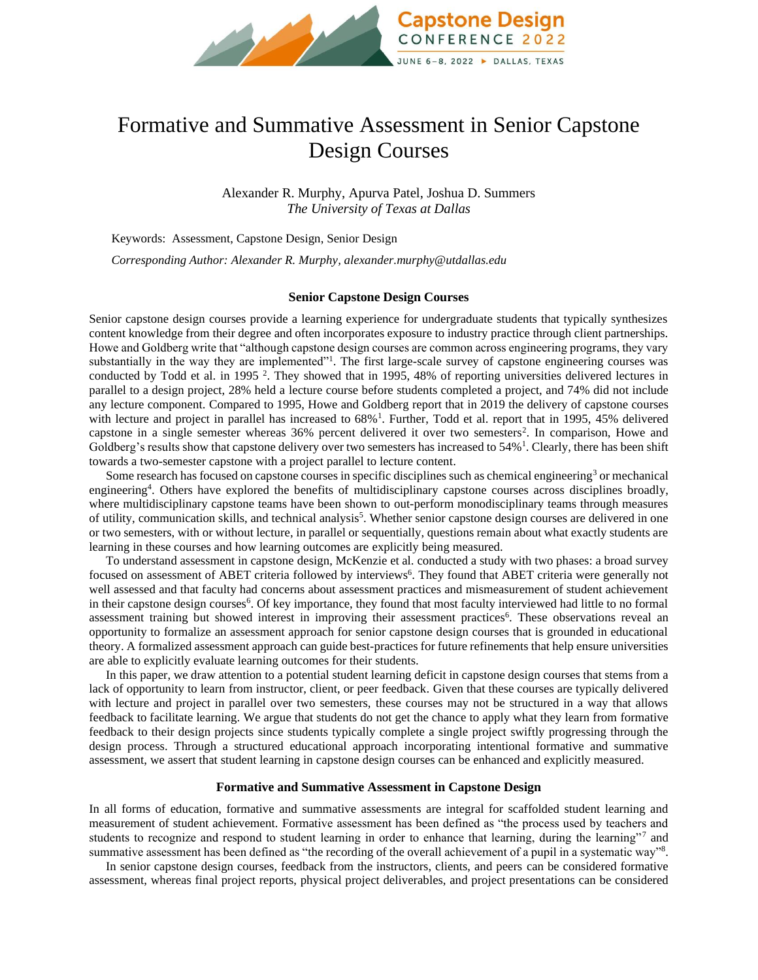

# Formative and Summative Assessment in Senior Capstone Design Courses

Alexander R. Murphy, Apurva Patel, Joshua D. Summers *The University of Texas at Dallas*

Keywords:Assessment, Capstone Design, Senior Design

*Corresponding Author: Alexander R. Murphy, alexander.murphy@utdallas.edu*

#### **Senior Capstone Design Courses**

Senior capstone design courses provide a learning experience for undergraduate students that typically synthesizes content knowledge from their degree and often incorporates exposure to industry practice through client partnerships. Howe and Goldberg write that "although capstone design courses are common across engineering programs, they vary substantially in the way they are implemented"<sup>1</sup>. The first large-scale survey of capstone engineering courses was conducted by Todd et al. in 1995<sup>2</sup>. They showed that in 1995, 48% of reporting universities delivered lectures in parallel to a design project, 28% held a lecture course before students completed a project, and 74% did not include any lecture component. Compared to 1995, Howe and Goldberg report that in 2019 the delivery of capstone courses with lecture and project in parallel has increased to 68%<sup>1</sup>. Further, Todd et al. report that in 1995, 45% delivered capstone in a single semester whereas 36% percent delivered it over two semesters<sup>2</sup>. In comparison, Howe and Goldberg's results show that capstone delivery over two semesters has increased to  $54\%$ <sup>1</sup>. Clearly, there has been shift towards a two-semester capstone with a project parallel to lecture content.

Some research has focused on capstone courses in specific disciplines such as chemical engineering<sup>3</sup> or mechanical engineering<sup>4</sup> . Others have explored the benefits of multidisciplinary capstone courses across disciplines broadly, where multidisciplinary capstone teams have been shown to out-perform monodisciplinary teams through measures of utility, communication skills, and technical analysis<sup>5</sup>. Whether senior capstone design courses are delivered in one or two semesters, with or without lecture, in parallel or sequentially, questions remain about what exactly students are learning in these courses and how learning outcomes are explicitly being measured.

To understand assessment in capstone design, McKenzie et al. conducted a study with two phases: a broad survey focused on assessment of ABET criteria followed by interviews<sup>6</sup>. They found that ABET criteria were generally not well assessed and that faculty had concerns about assessment practices and mismeasurement of student achievement in their capstone design courses<sup>6</sup>. Of key importance, they found that most faculty interviewed had little to no formal assessment training but showed interest in improving their assessment practices<sup>6</sup>. These observations reveal an opportunity to formalize an assessment approach for senior capstone design courses that is grounded in educational theory. A formalized assessment approach can guide best-practices for future refinements that help ensure universities are able to explicitly evaluate learning outcomes for their students.

In this paper, we draw attention to a potential student learning deficit in capstone design courses that stems from a lack of opportunity to learn from instructor, client, or peer feedback. Given that these courses are typically delivered with lecture and project in parallel over two semesters, these courses may not be structured in a way that allows feedback to facilitate learning. We argue that students do not get the chance to apply what they learn from formative feedback to their design projects since students typically complete a single project swiftly progressing through the design process. Through a structured educational approach incorporating intentional formative and summative assessment, we assert that student learning in capstone design courses can be enhanced and explicitly measured.

#### **Formative and Summative Assessment in Capstone Design**

In all forms of education, formative and summative assessments are integral for scaffolded student learning and measurement of student achievement. Formative assessment has been defined as "the process used by teachers and students to recognize and respond to student learning in order to enhance that learning, during the learning"7 and summative assessment has been defined as "the recording of the overall achievement of a pupil in a systematic way"<sup>8</sup>.

In senior capstone design courses, feedback from the instructors, clients, and peers can be considered formative assessment, whereas final project reports, physical project deliverables, and project presentations can be considered